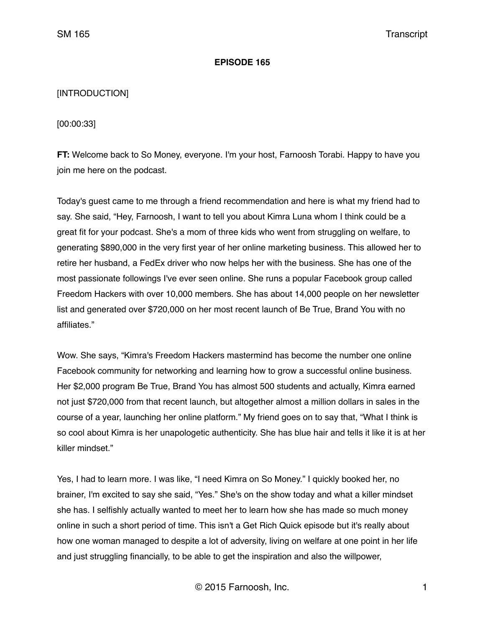### **EPISODE 165**

# [INTRODUCTION]

[00:00:33]

**FT:** Welcome back to So Money, everyone. I'm your host, Farnoosh Torabi. Happy to have you join me here on the podcast.

Today's guest came to me through a friend recommendation and here is what my friend had to say. She said, "Hey, Farnoosh, I want to tell you about Kimra Luna whom I think could be a great fit for your podcast. She's a mom of three kids who went from struggling on welfare, to generating \$890,000 in the very first year of her online marketing business. This allowed her to retire her husband, a FedEx driver who now helps her with the business. She has one of the most passionate followings I've ever seen online. She runs a popular Facebook group called Freedom Hackers with over 10,000 members. She has about 14,000 people on her newsletter list and generated over \$720,000 on her most recent launch of Be True, Brand You with no affiliates."

Wow. She says, "Kimra's Freedom Hackers mastermind has become the number one online Facebook community for networking and learning how to grow a successful online business. Her \$2,000 program Be True, Brand You has almost 500 students and actually, Kimra earned not just \$720,000 from that recent launch, but altogether almost a million dollars in sales in the course of a year, launching her online platform." My friend goes on to say that, "What I think is so cool about Kimra is her unapologetic authenticity. She has blue hair and tells it like it is at her killer mindset."

Yes, I had to learn more. I was like, "I need Kimra on So Money." I quickly booked her, no brainer, I'm excited to say she said, "Yes." She's on the show today and what a killer mindset she has. I selfishly actually wanted to meet her to learn how she has made so much money online in such a short period of time. This isn't a Get Rich Quick episode but it's really about how one woman managed to despite a lot of adversity, living on welfare at one point in her life and just struggling financially, to be able to get the inspiration and also the willpower,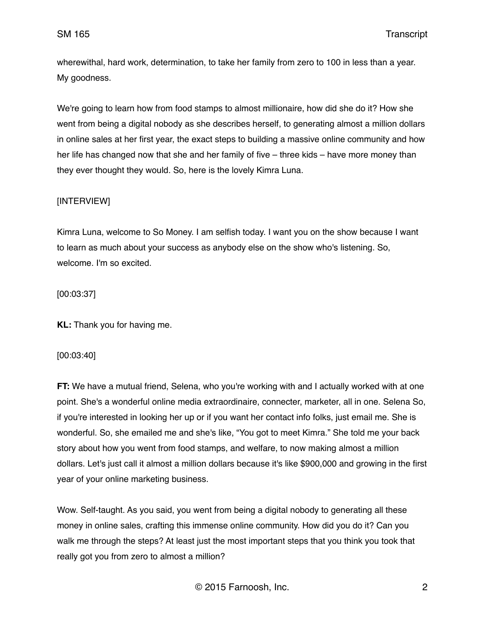wherewithal, hard work, determination, to take her family from zero to 100 in less than a year. My goodness.

We're going to learn how from food stamps to almost millionaire, how did she do it? How she went from being a digital nobody as she describes herself, to generating almost a million dollars in online sales at her first year, the exact steps to building a massive online community and how her life has changed now that she and her family of five – three kids – have more money than they ever thought they would. So, here is the lovely Kimra Luna.

# [INTERVIEW]

Kimra Luna, welcome to So Money. I am selfish today. I want you on the show because I want to learn as much about your success as anybody else on the show who's listening. So, welcome. I'm so excited.

[00:03:37]

**KL:** Thank you for having me.

# [00:03:40]

**FT:** We have a mutual friend, Selena, who you're working with and I actually worked with at one point. She's a wonderful online media extraordinaire, connecter, marketer, all in one. Selena So, if you're interested in looking her up or if you want her contact info folks, just email me. She is wonderful. So, she emailed me and she's like, "You got to meet Kimra." She told me your back story about how you went from food stamps, and welfare, to now making almost a million dollars. Let's just call it almost a million dollars because it's like \$900,000 and growing in the first year of your online marketing business.

Wow. Self-taught. As you said, you went from being a digital nobody to generating all these money in online sales, crafting this immense online community. How did you do it? Can you walk me through the steps? At least just the most important steps that you think you took that really got you from zero to almost a million?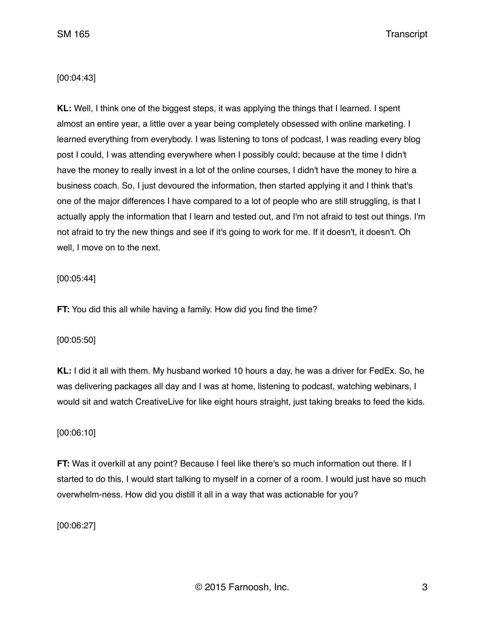# [00:04:43]

**KL:** Well, I think one of the biggest steps, it was applying the things that I learned. I spent almost an entire year, a little over a year being completely obsessed with online marketing. I learned everything from everybody. I was listening to tons of podcast, I was reading every blog post I could, I was attending everywhere when I possibly could; because at the time I didn't have the money to really invest in a lot of the online courses, I didn't have the money to hire a business coach. So, I just devoured the information, then started applying it and I think that's one of the major differences I have compared to a lot of people who are still struggling, is that I actually apply the information that I learn and tested out, and I'm not afraid to test out things. I'm not afraid to try the new things and see if it's going to work for me. If it doesn't, it doesn't. Oh well, I move on to the next.

### [00:05:44]

**FT:** You did this all while having a family. How did you find the time?

[00:05:50]

**KL:** I did it all with them. My husband worked 10 hours a day, he was a driver for FedEx. So, he was delivering packages all day and I was at home, listening to podcast, watching webinars, I would sit and watch CreativeLive for like eight hours straight, just taking breaks to feed the kids.

# [00:06:10]

**FT:** Was it overkill at any point? Because I feel like there's so much information out there. If I started to do this, I would start talking to myself in a corner of a room. I would just have so much overwhelm-ness. How did you distill it all in a way that was actionable for you?

[00:06:27]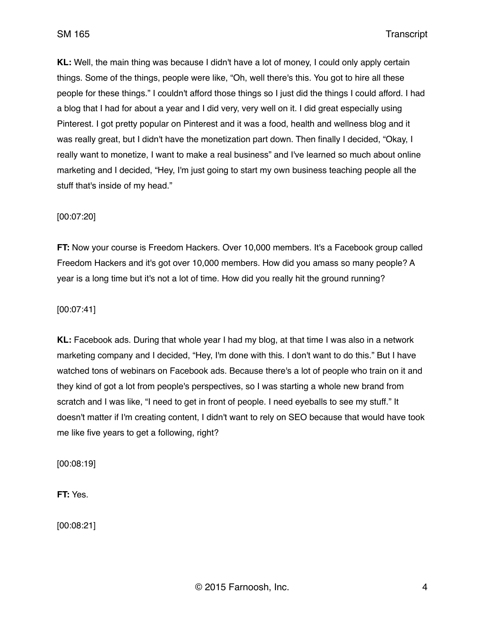**KL:** Well, the main thing was because I didn't have a lot of money, I could only apply certain things. Some of the things, people were like, "Oh, well there's this. You got to hire all these people for these things." I couldn't afford those things so I just did the things I could afford. I had a blog that I had for about a year and I did very, very well on it. I did great especially using Pinterest. I got pretty popular on Pinterest and it was a food, health and wellness blog and it was really great, but I didn't have the monetization part down. Then finally I decided, "Okay, I really want to monetize, I want to make a real business" and I've learned so much about online marketing and I decided, "Hey, I'm just going to start my own business teaching people all the stuff that's inside of my head."

# [00:07:20]

**FT:** Now your course is Freedom Hackers. Over 10,000 members. It's a Facebook group called Freedom Hackers and it's got over 10,000 members. How did you amass so many people? A year is a long time but it's not a lot of time. How did you really hit the ground running?

### [00:07:41]

**KL:** Facebook ads. During that whole year I had my blog, at that time I was also in a network marketing company and I decided, "Hey, I'm done with this. I don't want to do this." But I have watched tons of webinars on Facebook ads. Because there's a lot of people who train on it and they kind of got a lot from people's perspectives, so I was starting a whole new brand from scratch and I was like, "I need to get in front of people. I need eyeballs to see my stuff." It doesn't matter if I'm creating content, I didn't want to rely on SEO because that would have took me like five years to get a following, right?

[00:08:19]

**FT:** Yes.

[00:08:21]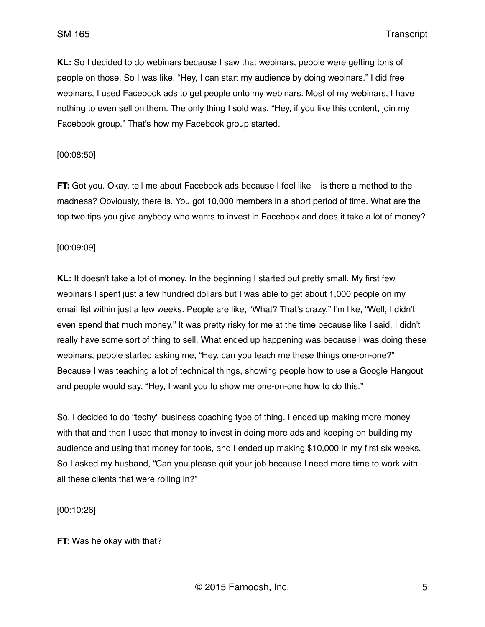**KL:** So I decided to do webinars because I saw that webinars, people were getting tons of people on those. So I was like, "Hey, I can start my audience by doing webinars." I did free webinars, I used Facebook ads to get people onto my webinars. Most of my webinars, I have nothing to even sell on them. The only thing I sold was, "Hey, if you like this content, join my Facebook group." That's how my Facebook group started.

### [00:08:50]

**FT:** Got you. Okay, tell me about Facebook ads because I feel like – is there a method to the madness? Obviously, there is. You got 10,000 members in a short period of time. What are the top two tips you give anybody who wants to invest in Facebook and does it take a lot of money?

### [00:09:09]

**KL:** It doesn't take a lot of money. In the beginning I started out pretty small. My first few webinars I spent just a few hundred dollars but I was able to get about 1,000 people on my email list within just a few weeks. People are like, "What? That's crazy." I'm like, "Well, I didn't even spend that much money." It was pretty risky for me at the time because like I said, I didn't really have some sort of thing to sell. What ended up happening was because I was doing these webinars, people started asking me, "Hey, can you teach me these things one-on-one?" Because I was teaching a lot of technical things, showing people how to use a Google Hangout and people would say, "Hey, I want you to show me one-on-one how to do this."

So, I decided to do "techy" business coaching type of thing. I ended up making more money with that and then I used that money to invest in doing more ads and keeping on building my audience and using that money for tools, and I ended up making \$10,000 in my first six weeks. So I asked my husband, "Can you please quit your job because I need more time to work with all these clients that were rolling in?"

[00:10:26]

**FT:** Was he okay with that?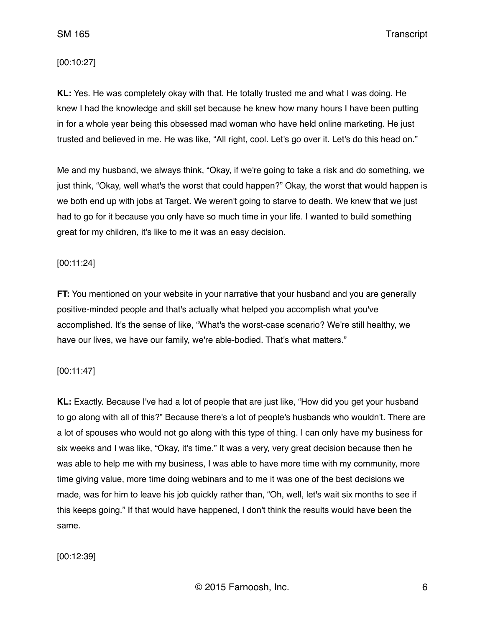### [00:10:27]

**KL:** Yes. He was completely okay with that. He totally trusted me and what I was doing. He knew I had the knowledge and skill set because he knew how many hours I have been putting in for a whole year being this obsessed mad woman who have held online marketing. He just trusted and believed in me. He was like, "All right, cool. Let's go over it. Let's do this head on."

Me and my husband, we always think, "Okay, if we're going to take a risk and do something, we just think, "Okay, well what's the worst that could happen?" Okay, the worst that would happen is we both end up with jobs at Target. We weren't going to starve to death. We knew that we just had to go for it because you only have so much time in your life. I wanted to build something great for my children, it's like to me it was an easy decision.

# [00:11:24]

**FT:** You mentioned on your website in your narrative that your husband and you are generally positive-minded people and that's actually what helped you accomplish what you've accomplished. It's the sense of like, "What's the worst-case scenario? We're still healthy, we have our lives, we have our family, we're able-bodied. That's what matters."

# [00:11:47]

**KL:** Exactly. Because I've had a lot of people that are just like, "How did you get your husband to go along with all of this?" Because there's a lot of people's husbands who wouldn't. There are a lot of spouses who would not go along with this type of thing. I can only have my business for six weeks and I was like, "Okay, it's time." It was a very, very great decision because then he was able to help me with my business, I was able to have more time with my community, more time giving value, more time doing webinars and to me it was one of the best decisions we made, was for him to leave his job quickly rather than, "Oh, well, let's wait six months to see if this keeps going." If that would have happened, I don't think the results would have been the same.

#### [00:12:39]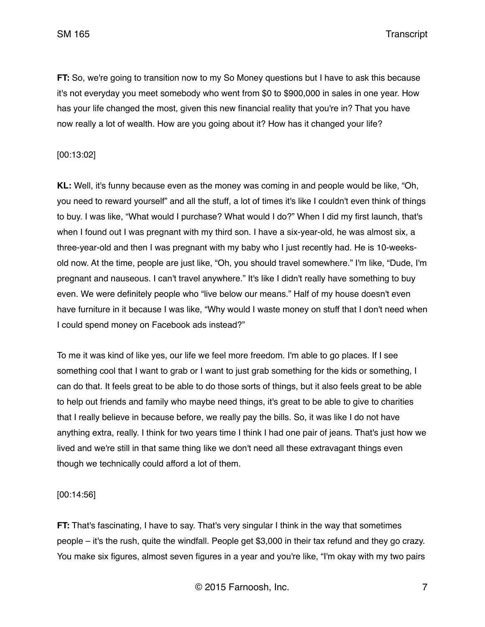**FT:** So, we're going to transition now to my So Money questions but I have to ask this because it's not everyday you meet somebody who went from \$0 to \$900,000 in sales in one year. How has your life changed the most, given this new financial reality that you're in? That you have now really a lot of wealth. How are you going about it? How has it changed your life?

### [00:13:02]

**KL:** Well, it's funny because even as the money was coming in and people would be like, "Oh, you need to reward yourself" and all the stuff, a lot of times it's like I couldn't even think of things to buy. I was like, "What would I purchase? What would I do?" When I did my first launch, that's when I found out I was pregnant with my third son. I have a six-year-old, he was almost six, a three-year-old and then I was pregnant with my baby who I just recently had. He is 10-weeksold now. At the time, people are just like, "Oh, you should travel somewhere." I'm like, "Dude, I'm pregnant and nauseous. I can't travel anywhere." It's like I didn't really have something to buy even. We were definitely people who "live below our means." Half of my house doesn't even have furniture in it because I was like, "Why would I waste money on stuff that I don't need when I could spend money on Facebook ads instead?"

To me it was kind of like yes, our life we feel more freedom. I'm able to go places. If I see something cool that I want to grab or I want to just grab something for the kids or something, I can do that. It feels great to be able to do those sorts of things, but it also feels great to be able to help out friends and family who maybe need things, it's great to be able to give to charities that I really believe in because before, we really pay the bills. So, it was like I do not have anything extra, really. I think for two years time I think I had one pair of jeans. That's just how we lived and we're still in that same thing like we don't need all these extravagant things even though we technically could afford a lot of them.

[00:14:56]

**FT:** That's fascinating, I have to say. That's very singular I think in the way that sometimes people – it's the rush, quite the windfall. People get \$3,000 in their tax refund and they go crazy. You make six figures, almost seven figures in a year and you're like, "I'm okay with my two pairs

© 2015 Farnoosh, Inc. 7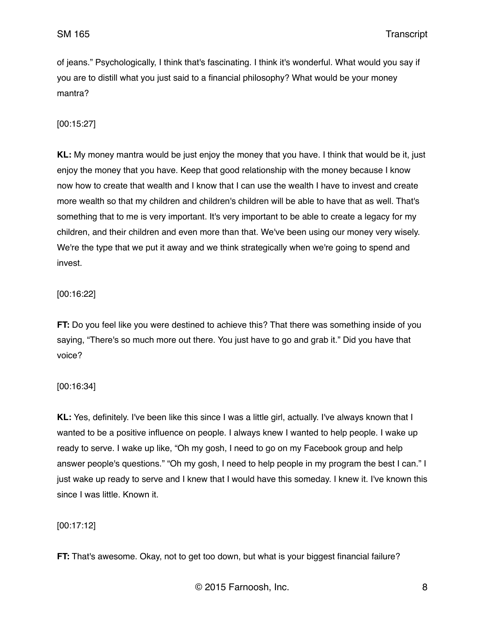of jeans." Psychologically, I think that's fascinating. I think it's wonderful. What would you say if you are to distill what you just said to a financial philosophy? What would be your money mantra?

[00:15:27]

**KL:** My money mantra would be just enjoy the money that you have. I think that would be it, just enjoy the money that you have. Keep that good relationship with the money because I know now how to create that wealth and I know that I can use the wealth I have to invest and create more wealth so that my children and children's children will be able to have that as well. That's something that to me is very important. It's very important to be able to create a legacy for my children, and their children and even more than that. We've been using our money very wisely. We're the type that we put it away and we think strategically when we're going to spend and invest.

# [00:16:22]

**FT:** Do you feel like you were destined to achieve this? That there was something inside of you saying, "There's so much more out there. You just have to go and grab it." Did you have that voice?

[00:16:34]

**KL:** Yes, definitely. I've been like this since I was a little girl, actually. I've always known that I wanted to be a positive influence on people. I always knew I wanted to help people. I wake up ready to serve. I wake up like, "Oh my gosh, I need to go on my Facebook group and help answer people's questions." "Oh my gosh, I need to help people in my program the best I can." I just wake up ready to serve and I knew that I would have this someday. I knew it. I've known this since I was little. Known it.

# [00:17:12]

**FT:** That's awesome. Okay, not to get too down, but what is your biggest financial failure?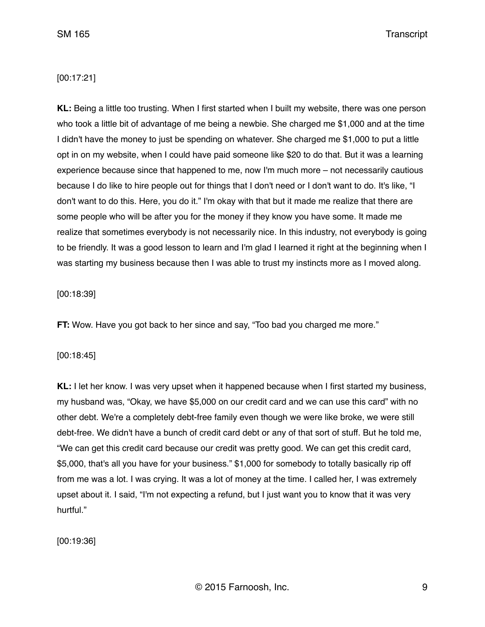## [00:17:21]

**KL:** Being a little too trusting. When I first started when I built my website, there was one person who took a little bit of advantage of me being a newbie. She charged me \$1,000 and at the time I didn't have the money to just be spending on whatever. She charged me \$1,000 to put a little opt in on my website, when I could have paid someone like \$20 to do that. But it was a learning experience because since that happened to me, now I'm much more – not necessarily cautious because I do like to hire people out for things that I don't need or I don't want to do. It's like, "I don't want to do this. Here, you do it." I'm okay with that but it made me realize that there are some people who will be after you for the money if they know you have some. It made me realize that sometimes everybody is not necessarily nice. In this industry, not everybody is going to be friendly. It was a good lesson to learn and I'm glad I learned it right at the beginning when I was starting my business because then I was able to trust my instincts more as I moved along.

#### [00:18:39]

**FT:** Wow. Have you got back to her since and say, "Too bad you charged me more."

#### [00:18:45]

**KL:** I let her know. I was very upset when it happened because when I first started my business, my husband was, "Okay, we have \$5,000 on our credit card and we can use this card" with no other debt. We're a completely debt-free family even though we were like broke, we were still debt-free. We didn't have a bunch of credit card debt or any of that sort of stuff. But he told me, "We can get this credit card because our credit was pretty good. We can get this credit card, \$5,000, that's all you have for your business." \$1,000 for somebody to totally basically rip off from me was a lot. I was crying. It was a lot of money at the time. I called her, I was extremely upset about it. I said, "I'm not expecting a refund, but I just want you to know that it was very hurtful."

[00:19:36]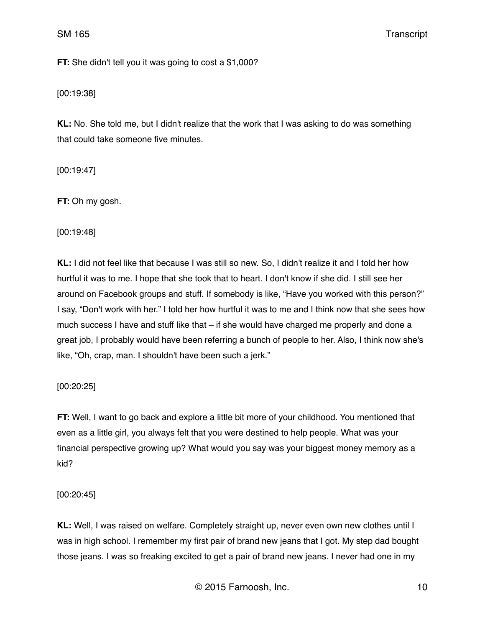**FT:** She didn't tell you it was going to cost a \$1,000?

[00:19:38]

**KL:** No. She told me, but I didn't realize that the work that I was asking to do was something that could take someone five minutes.

[00:19:47]

**FT:** Oh my gosh.

[00:19:48]

**KL:** I did not feel like that because I was still so new. So, I didn't realize it and I told her how hurtful it was to me. I hope that she took that to heart. I don't know if she did. I still see her around on Facebook groups and stuff. If somebody is like, "Have you worked with this person?" I say, "Don't work with her." I told her how hurtful it was to me and I think now that she sees how much success I have and stuff like that – if she would have charged me properly and done a great job, I probably would have been referring a bunch of people to her. Also, I think now she's like, "Oh, crap, man. I shouldn't have been such a jerk."

[00:20:25]

**FT:** Well, I want to go back and explore a little bit more of your childhood. You mentioned that even as a little girl, you always felt that you were destined to help people. What was your financial perspective growing up? What would you say was your biggest money memory as a kid?

[00:20:45]

**KL:** Well, I was raised on welfare. Completely straight up, never even own new clothes until I was in high school. I remember my first pair of brand new jeans that I got. My step dad bought those jeans. I was so freaking excited to get a pair of brand new jeans. I never had one in my

© 2015 Farnoosh, Inc. 10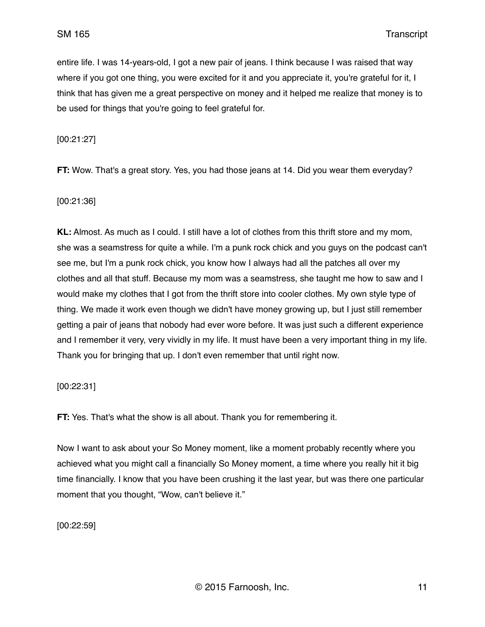entire life. I was 14-years-old, I got a new pair of jeans. I think because I was raised that way where if you got one thing, you were excited for it and you appreciate it, you're grateful for it, I think that has given me a great perspective on money and it helped me realize that money is to be used for things that you're going to feel grateful for.

[00:21:27]

**FT:** Wow. That's a great story. Yes, you had those jeans at 14. Did you wear them everyday?

[00:21:36]

**KL:** Almost. As much as I could. I still have a lot of clothes from this thrift store and my mom, she was a seamstress for quite a while. I'm a punk rock chick and you guys on the podcast can't see me, but I'm a punk rock chick, you know how I always had all the patches all over my clothes and all that stuff. Because my mom was a seamstress, she taught me how to saw and I would make my clothes that I got from the thrift store into cooler clothes. My own style type of thing. We made it work even though we didn't have money growing up, but I just still remember getting a pair of jeans that nobody had ever wore before. It was just such a different experience and I remember it very, very vividly in my life. It must have been a very important thing in my life. Thank you for bringing that up. I don't even remember that until right now.

[00:22:31]

**FT:** Yes. That's what the show is all about. Thank you for remembering it.

Now I want to ask about your So Money moment, like a moment probably recently where you achieved what you might call a financially So Money moment, a time where you really hit it big time financially. I know that you have been crushing it the last year, but was there one particular moment that you thought, "Wow, can't believe it."

[00:22:59]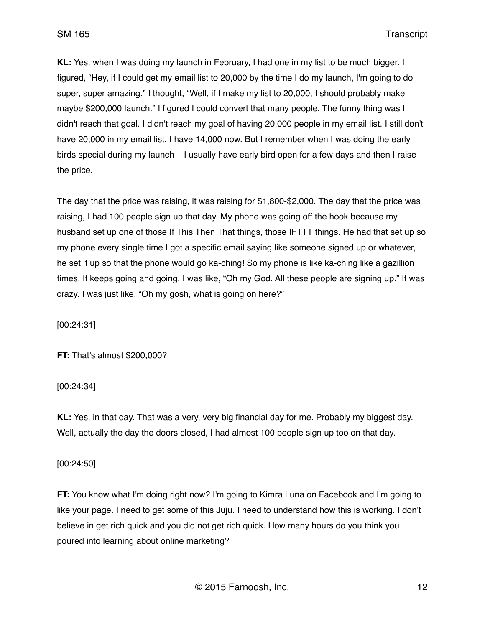**KL:** Yes, when I was doing my launch in February, I had one in my list to be much bigger. I figured, "Hey, if I could get my email list to 20,000 by the time I do my launch, I'm going to do super, super amazing." I thought, "Well, if I make my list to 20,000, I should probably make maybe \$200,000 launch." I figured I could convert that many people. The funny thing was I didn't reach that goal. I didn't reach my goal of having 20,000 people in my email list. I still don't have 20,000 in my email list. I have 14,000 now. But I remember when I was doing the early birds special during my launch – I usually have early bird open for a few days and then I raise the price.

The day that the price was raising, it was raising for \$1,800-\$2,000. The day that the price was raising, I had 100 people sign up that day. My phone was going off the hook because my husband set up one of those If This Then That things, those IFTTT things. He had that set up so my phone every single time I got a specific email saying like someone signed up or whatever, he set it up so that the phone would go ka-ching! So my phone is like ka-ching like a gazillion times. It keeps going and going. I was like, "Oh my God. All these people are signing up." It was crazy. I was just like, "Oh my gosh, what is going on here?"

[00:24:31]

**FT:** That's almost \$200,000?

[00:24:34]

**KL:** Yes, in that day. That was a very, very big financial day for me. Probably my biggest day. Well, actually the day the doors closed, I had almost 100 people sign up too on that day.

# [00:24:50]

**FT:** You know what I'm doing right now? I'm going to Kimra Luna on Facebook and I'm going to like your page. I need to get some of this Juju. I need to understand how this is working. I don't believe in get rich quick and you did not get rich quick. How many hours do you think you poured into learning about online marketing?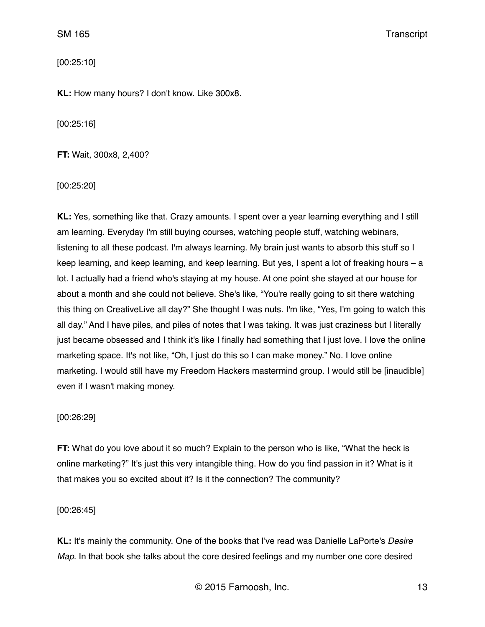[00:25:10]

**KL:** How many hours? I don't know. Like 300x8.

[00:25:16]

**FT:** Wait, 300x8, 2,400?

[00:25:20]

**KL:** Yes, something like that. Crazy amounts. I spent over a year learning everything and I still am learning. Everyday I'm still buying courses, watching people stuff, watching webinars, listening to all these podcast. I'm always learning. My brain just wants to absorb this stuff so I keep learning, and keep learning, and keep learning. But yes, I spent a lot of freaking hours – a lot. I actually had a friend who's staying at my house. At one point she stayed at our house for about a month and she could not believe. She's like, "You're really going to sit there watching this thing on CreativeLive all day?" She thought I was nuts. I'm like, "Yes, I'm going to watch this all day." And I have piles, and piles of notes that I was taking. It was just craziness but I literally just became obsessed and I think it's like I finally had something that I just love. I love the online marketing space. It's not like, "Oh, I just do this so I can make money." No. I love online marketing. I would still have my Freedom Hackers mastermind group. I would still be [inaudible] even if I wasn't making money.

#### [00:26:29]

**FT:** What do you love about it so much? Explain to the person who is like, "What the heck is online marketing?" It's just this very intangible thing. How do you find passion in it? What is it that makes you so excited about it? Is it the connection? The community?

[00:26:45]

**KL:** It's mainly the community. One of the books that I've read was Danielle LaPorte's *Desire Map*. In that book she talks about the core desired feelings and my number one core desired

© 2015 Farnoosh, Inc. 13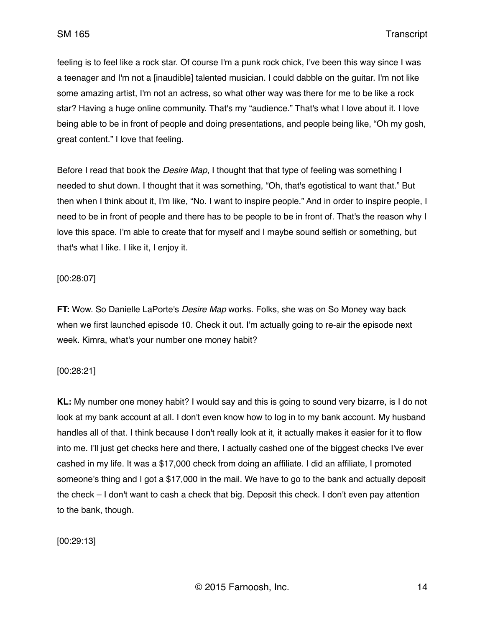feeling is to feel like a rock star. Of course I'm a punk rock chick, I've been this way since I was a teenager and I'm not a [inaudible] talented musician. I could dabble on the guitar. I'm not like some amazing artist, I'm not an actress, so what other way was there for me to be like a rock star? Having a huge online community. That's my "audience." That's what I love about it. I love being able to be in front of people and doing presentations, and people being like, "Oh my gosh, great content." I love that feeling.

Before I read that book the *Desire Map*, I thought that that type of feeling was something I needed to shut down. I thought that it was something, "Oh, that's egotistical to want that." But then when I think about it, I'm like, "No. I want to inspire people." And in order to inspire people, I need to be in front of people and there has to be people to be in front of. That's the reason why I love this space. I'm able to create that for myself and I maybe sound selfish or something, but that's what I like. I like it, I enjoy it.

# [00:28:07]

**FT:** Wow. So Danielle LaPorte's *Desire Map* works. Folks, she was on So Money way back when we first launched episode 10. Check it out. I'm actually going to re-air the episode next week. Kimra, what's your number one money habit?

# [00:28:21]

**KL:** My number one money habit? I would say and this is going to sound very bizarre, is I do not look at my bank account at all. I don't even know how to log in to my bank account. My husband handles all of that. I think because I don't really look at it, it actually makes it easier for it to flow into me. I'll just get checks here and there, I actually cashed one of the biggest checks I've ever cashed in my life. It was a \$17,000 check from doing an affiliate. I did an affiliate, I promoted someone's thing and I got a \$17,000 in the mail. We have to go to the bank and actually deposit the check – I don't want to cash a check that big. Deposit this check. I don't even pay attention to the bank, though.

[00:29:13]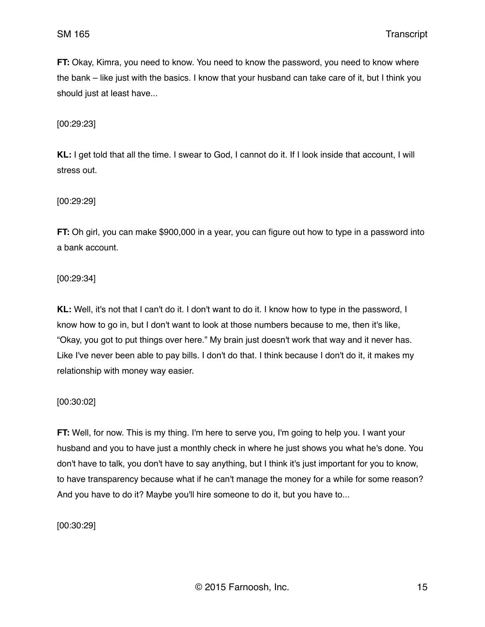**FT:** Okay, Kimra, you need to know. You need to know the password, you need to know where the bank – like just with the basics. I know that your husband can take care of it, but I think you should just at least have...

[00:29:23]

**KL:** I get told that all the time. I swear to God, I cannot do it. If I look inside that account, I will stress out.

[00:29:29]

**FT:** Oh girl, you can make \$900,000 in a year, you can figure out how to type in a password into a bank account.

[00:29:34]

**KL:** Well, it's not that I can't do it. I don't want to do it. I know how to type in the password, I know how to go in, but I don't want to look at those numbers because to me, then it's like, "Okay, you got to put things over here." My brain just doesn't work that way and it never has. Like I've never been able to pay bills. I don't do that. I think because I don't do it, it makes my relationship with money way easier.

[00:30:02]

**FT:** Well, for now. This is my thing. I'm here to serve you, I'm going to help you. I want your husband and you to have just a monthly check in where he just shows you what he's done. You don't have to talk, you don't have to say anything, but I think it's just important for you to know, to have transparency because what if he can't manage the money for a while for some reason? And you have to do it? Maybe you'll hire someone to do it, but you have to...

[00:30:29]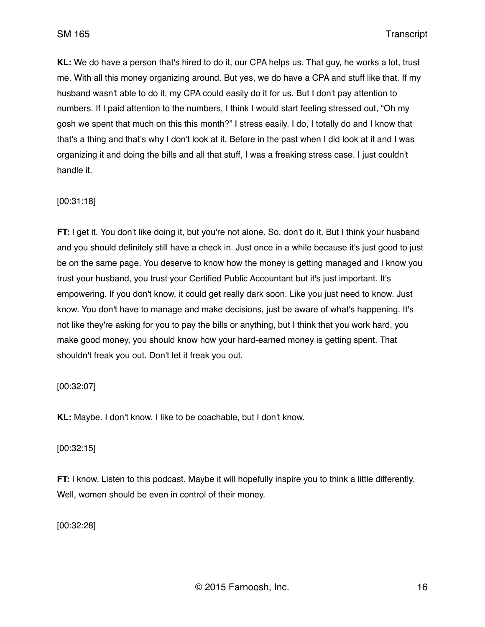**KL:** We do have a person that's hired to do it, our CPA helps us. That guy, he works a lot, trust me. With all this money organizing around. But yes, we do have a CPA and stuff like that. If my husband wasn't able to do it, my CPA could easily do it for us. But I don't pay attention to numbers. If I paid attention to the numbers, I think I would start feeling stressed out, "Oh my gosh we spent that much on this this month?" I stress easily. I do, I totally do and I know that that's a thing and that's why I don't look at it. Before in the past when I did look at it and I was organizing it and doing the bills and all that stuff, I was a freaking stress case. I just couldn't handle it.

# [00:31:18]

**FT:** I get it. You don't like doing it, but you're not alone. So, don't do it. But I think your husband and you should definitely still have a check in. Just once in a while because it's just good to just be on the same page. You deserve to know how the money is getting managed and I know you trust your husband, you trust your Certified Public Accountant but it's just important. It's empowering. If you don't know, it could get really dark soon. Like you just need to know. Just know. You don't have to manage and make decisions, just be aware of what's happening. It's not like they're asking for you to pay the bills or anything, but I think that you work hard, you make good money, you should know how your hard-earned money is getting spent. That shouldn't freak you out. Don't let it freak you out.

# [00:32:07]

**KL:** Maybe. I don't know. I like to be coachable, but I don't know.

# [00:32:15]

**FT:** I know. Listen to this podcast. Maybe it will hopefully inspire you to think a little differently. Well, women should be even in control of their money.

[00:32:28]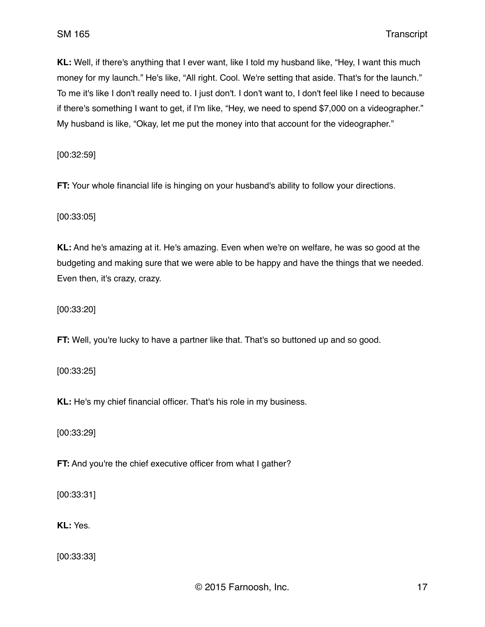**KL:** Well, if there's anything that I ever want, like I told my husband like, "Hey, I want this much money for my launch." He's like, "All right. Cool. We're setting that aside. That's for the launch." To me it's like I don't really need to. I just don't. I don't want to, I don't feel like I need to because if there's something I want to get, if I'm like, "Hey, we need to spend \$7,000 on a videographer." My husband is like, "Okay, let me put the money into that account for the videographer."

[00:32:59]

**FT:** Your whole financial life is hinging on your husband's ability to follow your directions.

[00:33:05]

**KL:** And he's amazing at it. He's amazing. Even when we're on welfare, he was so good at the budgeting and making sure that we were able to be happy and have the things that we needed. Even then, it's crazy, crazy.

[00:33:20]

**FT:** Well, you're lucky to have a partner like that. That's so buttoned up and so good.

[00:33:25]

**KL:** He's my chief financial officer. That's his role in my business.

[00:33:29]

**FT:** And you're the chief executive officer from what I gather?

[00:33:31]

**KL:** Yes.

[00:33:33]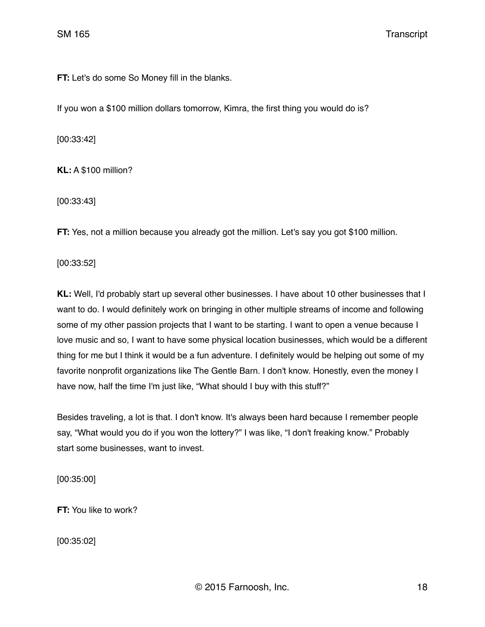**FT:** Let's do some So Money fill in the blanks.

If you won a \$100 million dollars tomorrow, Kimra, the first thing you would do is?

[00:33:42]

**KL:** A \$100 million?

[00:33:43]

**FT:** Yes, not a million because you already got the million. Let's say you got \$100 million.

[00:33:52]

**KL:** Well, I'd probably start up several other businesses. I have about 10 other businesses that I want to do. I would definitely work on bringing in other multiple streams of income and following some of my other passion projects that I want to be starting. I want to open a venue because I love music and so, I want to have some physical location businesses, which would be a different thing for me but I think it would be a fun adventure. I definitely would be helping out some of my favorite nonprofit organizations like The Gentle Barn. I don't know. Honestly, even the money I have now, half the time I'm just like, "What should I buy with this stuff?"

Besides traveling, a lot is that. I don't know. It's always been hard because I remember people say, "What would you do if you won the lottery?" I was like, "I don't freaking know." Probably start some businesses, want to invest.

[00:35:00]

**FT:** You like to work?

[00:35:02]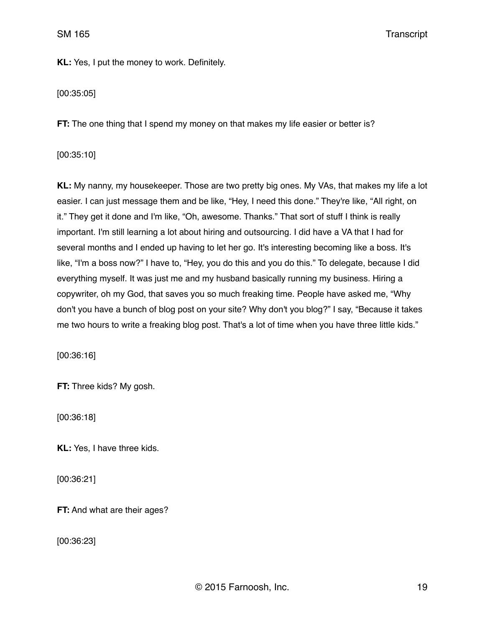**KL:** Yes, I put the money to work. Definitely.

[00:35:05]

**FT:** The one thing that I spend my money on that makes my life easier or better is?

[00:35:10]

**KL:** My nanny, my housekeeper. Those are two pretty big ones. My VAs, that makes my life a lot easier. I can just message them and be like, "Hey, I need this done." They're like, "All right, on it." They get it done and I'm like, "Oh, awesome. Thanks." That sort of stuff I think is really important. I'm still learning a lot about hiring and outsourcing. I did have a VA that I had for several months and I ended up having to let her go. It's interesting becoming like a boss. It's like, "I'm a boss now?" I have to, "Hey, you do this and you do this." To delegate, because I did everything myself. It was just me and my husband basically running my business. Hiring a copywriter, oh my God, that saves you so much freaking time. People have asked me, "Why don't you have a bunch of blog post on your site? Why don't you blog?" I say, "Because it takes me two hours to write a freaking blog post. That's a lot of time when you have three little kids."

[00:36:16]

**FT:** Three kids? My gosh.

[00:36:18]

**KL:** Yes, I have three kids.

[00:36:21]

**FT:** And what are their ages?

[00:36:23]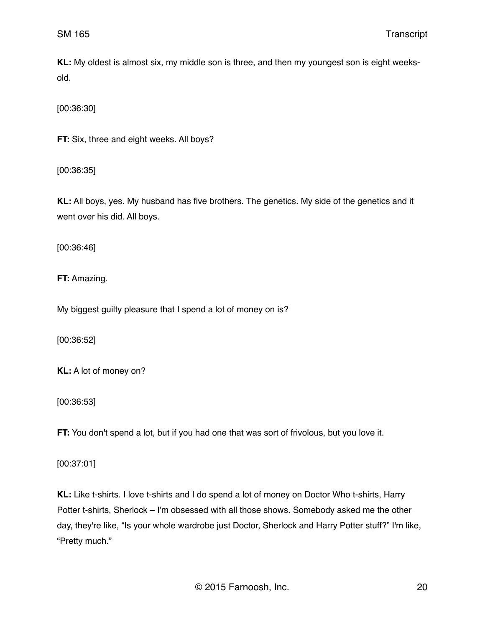**KL:** My oldest is almost six, my middle son is three, and then my youngest son is eight weeksold.

[00:36:30]

**FT:** Six, three and eight weeks. All boys?

[00:36:35]

**KL:** All boys, yes. My husband has five brothers. The genetics. My side of the genetics and it went over his did. All boys.

[00:36:46]

**FT:** Amazing.

My biggest guilty pleasure that I spend a lot of money on is?

[00:36:52]

**KL:** A lot of money on?

[00:36:53]

**FT:** You don't spend a lot, but if you had one that was sort of frivolous, but you love it.

[00:37:01]

**KL:** Like t-shirts. I love t-shirts and I do spend a lot of money on Doctor Who t-shirts, Harry Potter t-shirts, Sherlock – I'm obsessed with all those shows. Somebody asked me the other day, they're like, "Is your whole wardrobe just Doctor, Sherlock and Harry Potter stuff?" I'm like, "Pretty much."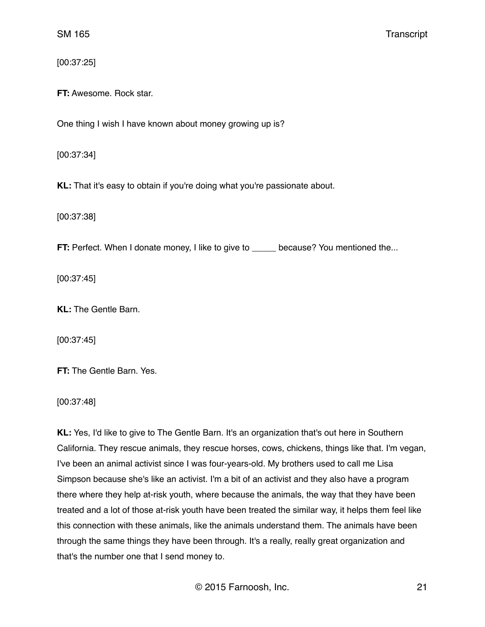[00:37:25]

**FT:** Awesome. Rock star.

One thing I wish I have known about money growing up is?

[00:37:34]

**KL:** That it's easy to obtain if you're doing what you're passionate about.

[00:37:38]

**FT:** Perfect. When I donate money, I like to give to \_\_\_\_\_ because? You mentioned the...

[00:37:45]

**KL:** The Gentle Barn.

[00:37:45]

**FT:** The Gentle Barn. Yes.

[00:37:48]

**KL:** Yes, I'd like to give to The Gentle Barn. It's an organization that's out here in Southern California. They rescue animals, they rescue horses, cows, chickens, things like that. I'm vegan, I've been an animal activist since I was four-years-old. My brothers used to call me Lisa Simpson because she's like an activist. I'm a bit of an activist and they also have a program there where they help at-risk youth, where because the animals, the way that they have been treated and a lot of those at-risk youth have been treated the similar way, it helps them feel like this connection with these animals, like the animals understand them. The animals have been through the same things they have been through. It's a really, really great organization and that's the number one that I send money to.